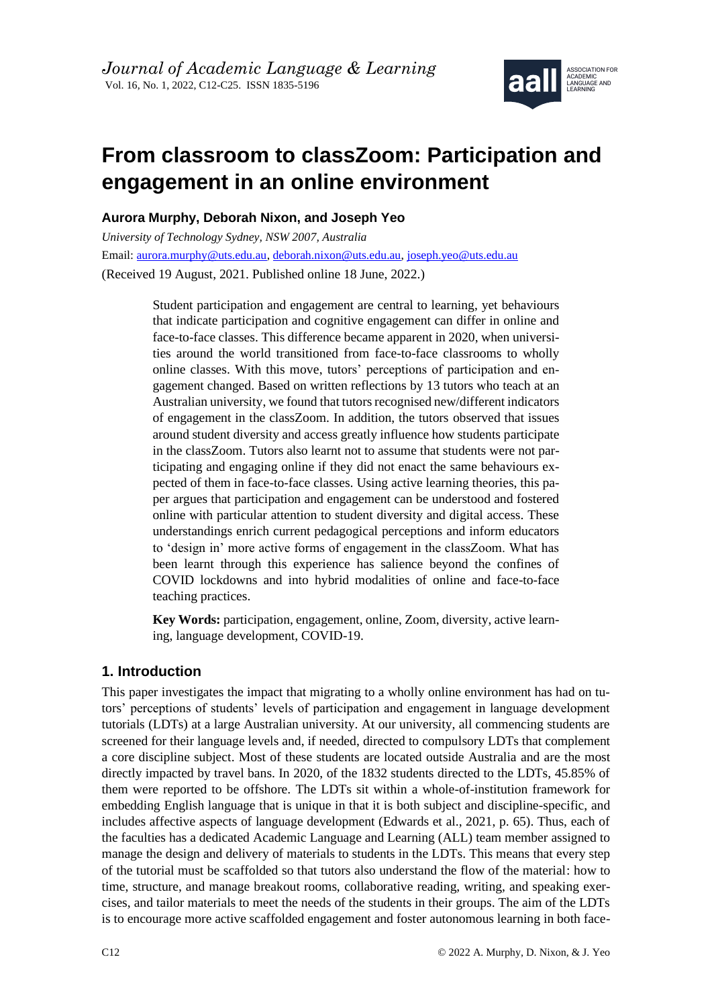

# **From classroom to classZoom: Participation and engagement in an online environment**

# **Aurora Murphy, Deborah Nixon, and Joseph Yeo**

*University of Technology Sydney, NSW 2007, Australia* Email: [aurora.murphy@uts.edu.au,](mailto:aurora.murphy@uts.edu.au) [deborah.nixon@uts.edu.au,](mailto:deborah.nixon@uts.edu.au) [joseph.yeo@uts.edu.au](mailto:joseph.yeo@uts.edu.au) (Received 19 August, 2021. Published online 18 June, 2022.)

> Student participation and engagement are central to learning, yet behaviours that indicate participation and cognitive engagement can differ in online and face-to-face classes. This difference became apparent in 2020, when universities around the world transitioned from face-to-face classrooms to wholly online classes. With this move, tutors' perceptions of participation and engagement changed. Based on written reflections by 13 tutors who teach at an Australian university, we found that tutors recognised new/different indicators of engagement in the classZoom. In addition, the tutors observed that issues around student diversity and access greatly influence how students participate in the classZoom. Tutors also learnt not to assume that students were not participating and engaging online if they did not enact the same behaviours expected of them in face-to-face classes. Using active learning theories, this paper argues that participation and engagement can be understood and fostered online with particular attention to student diversity and digital access. These understandings enrich current pedagogical perceptions and inform educators to 'design in' more active forms of engagement in the classZoom. What has been learnt through this experience has salience beyond the confines of COVID lockdowns and into hybrid modalities of online and face-to-face teaching practices.

> **Key Words:** participation, engagement, online, Zoom, diversity, active learning, language development, COVID-19.

# **1. Introduction**

This paper investigates the impact that migrating to a wholly online environment has had on tutors' perceptions of students' levels of participation and engagement in language development tutorials (LDTs) at a large Australian university. At our university, all commencing students are screened for their language levels and, if needed, directed to compulsory LDTs that complement a core discipline subject. Most of these students are located outside Australia and are the most directly impacted by travel bans. In 2020, of the 1832 students directed to the LDTs, 45.85% of them were reported to be offshore. The LDTs sit within a whole-of-institution framework for embedding English language that is unique in that it is both subject and discipline-specific, and includes affective aspects of language development (Edwards et al., 2021, p. 65). Thus, each of the faculties has a dedicated Academic Language and Learning (ALL) team member assigned to manage the design and delivery of materials to students in the LDTs. This means that every step of the tutorial must be scaffolded so that tutors also understand the flow of the material: how to time, structure, and manage breakout rooms, collaborative reading, writing, and speaking exercises, and tailor materials to meet the needs of the students in their groups. The aim of the LDTs is to encourage more active scaffolded engagement and foster autonomous learning in both face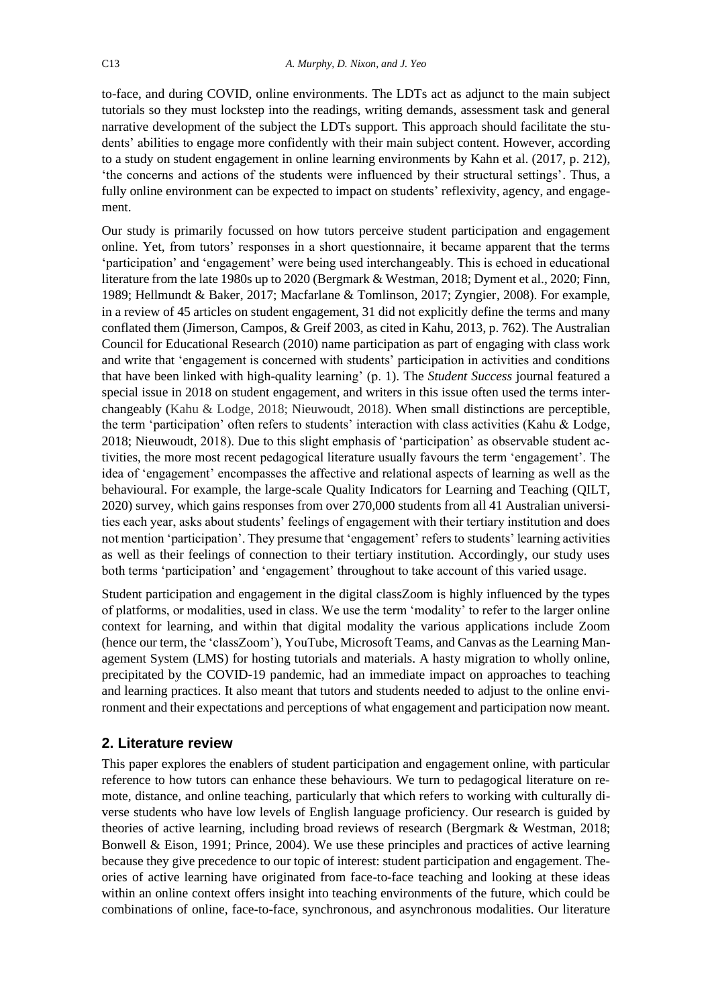to-face, and during COVID, online environments. The LDTs act as adjunct to the main subject tutorials so they must lockstep into the readings, writing demands, assessment task and general narrative development of the subject the LDTs support. This approach should facilitate the students' abilities to engage more confidently with their main subject content. However, according to a study on student engagement in online learning environments by Kahn et al. (2017, p. 212), 'the concerns and actions of the students were influenced by their structural settings'. Thus, a fully online environment can be expected to impact on students' reflexivity, agency, and engagement.

Our study is primarily focussed on how tutors perceive student participation and engagement online. Yet, from tutors' responses in a short questionnaire, it became apparent that the terms 'participation' and 'engagement' were being used interchangeably. This is echoed in educational literature from the late 1980s up to 2020 (Bergmark & Westman, 2018; Dyment et al., 2020; Finn, 1989; Hellmundt & Baker, 2017; Macfarlane & Tomlinson, 2017; Zyngier, 2008). For example, in a review of 45 articles on student engagement, 31 did not explicitly define the terms and many conflated them (Jimerson, Campos, & Greif 2003, as cited in Kahu, 2013, p. 762). The Australian Council for Educational Research (2010) name participation as part of engaging with class work and write that 'engagement is concerned with students' participation in activities and conditions that have been linked with high-quality learning' (p. 1). The *Student Success* journal featured a special issue in 2018 on student engagement, and writers in this issue often used the terms interchangeably (Kahu & Lodge, 2018; Nieuwoudt, 2018). When small distinctions are perceptible, the term 'participation' often refers to students' interaction with class activities (Kahu & Lodge, 2018; Nieuwoudt, 2018). Due to this slight emphasis of 'participation' as observable student activities, the more most recent pedagogical literature usually favours the term 'engagement'. The idea of 'engagement' encompasses the affective and relational aspects of learning as well as the behavioural. For example, the large-scale Quality Indicators for Learning and Teaching (QILT, 2020) survey, which gains responses from over 270,000 students from all 41 Australian universities each year, asks about students' feelings of engagement with their tertiary institution and does not mention 'participation'. They presume that 'engagement' refers to students' learning activities as well as their feelings of connection to their tertiary institution. Accordingly, our study uses both terms 'participation' and 'engagement' throughout to take account of this varied usage.

Student participation and engagement in the digital classZoom is highly influenced by the types of platforms, or modalities, used in class. We use the term 'modality' to refer to the larger online context for learning, and within that digital modality the various applications include Zoom (hence our term, the 'classZoom'), YouTube, Microsoft Teams, and Canvas as the Learning Management System (LMS) for hosting tutorials and materials. A hasty migration to wholly online, precipitated by the COVID-19 pandemic, had an immediate impact on approaches to teaching and learning practices. It also meant that tutors and students needed to adjust to the online environment and their expectations and perceptions of what engagement and participation now meant.

## **2. Literature review**

This paper explores the enablers of student participation and engagement online, with particular reference to how tutors can enhance these behaviours. We turn to pedagogical literature on remote, distance, and online teaching, particularly that which refers to working with culturally diverse students who have low levels of English language proficiency. Our research is guided by theories of active learning, including broad reviews of research (Bergmark & Westman, 2018; Bonwell & Eison, 1991; Prince, 2004). We use these principles and practices of active learning because they give precedence to our topic of interest: student participation and engagement. Theories of active learning have originated from face-to-face teaching and looking at these ideas within an online context offers insight into teaching environments of the future, which could be combinations of online, face-to-face, synchronous, and asynchronous modalities. Our literature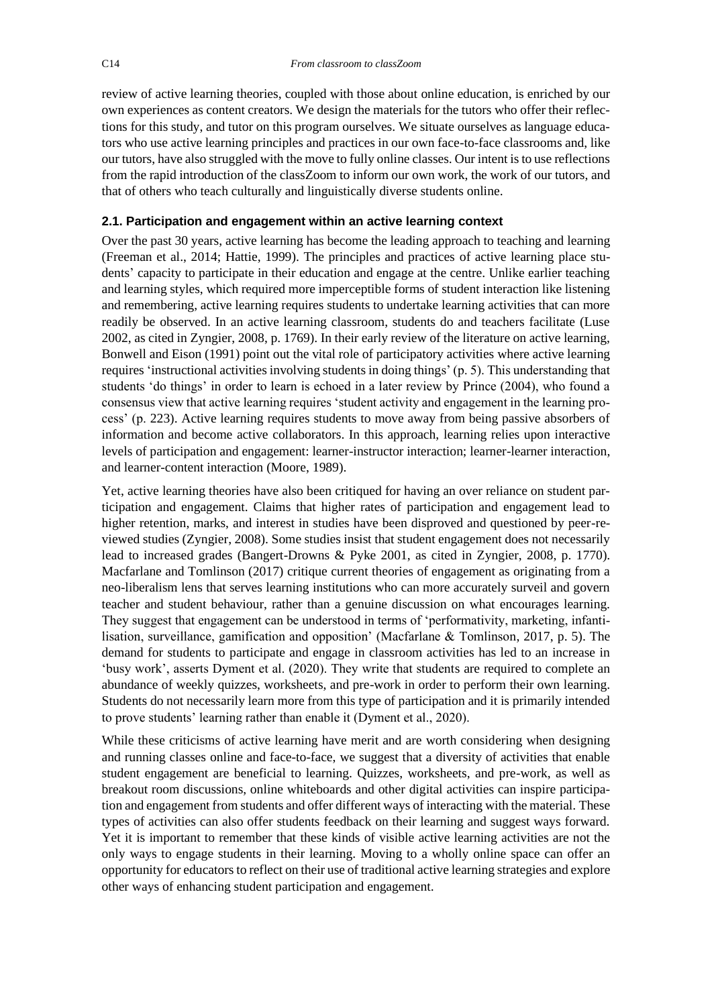review of active learning theories, coupled with those about online education, is enriched by our own experiences as content creators. We design the materials for the tutors who offer their reflections for this study, and tutor on this program ourselves. We situate ourselves as language educators who use active learning principles and practices in our own face-to-face classrooms and, like our tutors, have also struggled with the move to fully online classes. Our intent is to use reflections from the rapid introduction of the classZoom to inform our own work, the work of our tutors, and that of others who teach culturally and linguistically diverse students online.

## **2.1. Participation and engagement within an active learning context**

Over the past 30 years, active learning has become the leading approach to teaching and learning (Freeman et al., 2014; Hattie, 1999). The principles and practices of active learning place students' capacity to participate in their education and engage at the centre. Unlike earlier teaching and learning styles, which required more imperceptible forms of student interaction like listening and remembering, active learning requires students to undertake learning activities that can more readily be observed. In an active learning classroom, students do and teachers facilitate (Luse 2002, as cited in Zyngier, 2008, p. 1769). In their early review of the literature on active learning, Bonwell and Eison (1991) point out the vital role of participatory activities where active learning requires 'instructional activities involving students in doing things' (p. 5). This understanding that students 'do things' in order to learn is echoed in a later review by Prince (2004), who found a consensus view that active learning requires 'student activity and engagement in the learning process' (p. 223). Active learning requires students to move away from being passive absorbers of information and become active collaborators. In this approach, learning relies upon interactive levels of participation and engagement: learner-instructor interaction; learner-learner interaction, and learner-content interaction (Moore, 1989).

Yet, active learning theories have also been critiqued for having an over reliance on student participation and engagement. Claims that higher rates of participation and engagement lead to higher retention, marks, and interest in studies have been disproved and questioned by peer-reviewed studies (Zyngier, 2008). Some studies insist that student engagement does not necessarily lead to increased grades (Bangert-Drowns & Pyke 2001, as cited in Zyngier, 2008, p. 1770). Macfarlane and Tomlinson (2017) critique current theories of engagement as originating from a neo-liberalism lens that serves learning institutions who can more accurately surveil and govern teacher and student behaviour, rather than a genuine discussion on what encourages learning. They suggest that engagement can be understood in terms of 'performativity, marketing, infantilisation, surveillance, gamification and opposition' (Macfarlane & Tomlinson, 2017, p. 5). The demand for students to participate and engage in classroom activities has led to an increase in 'busy work', asserts Dyment et al. (2020). They write that students are required to complete an abundance of weekly quizzes, worksheets, and pre-work in order to perform their own learning. Students do not necessarily learn more from this type of participation and it is primarily intended to prove students' learning rather than enable it (Dyment et al., 2020).

While these criticisms of active learning have merit and are worth considering when designing and running classes online and face-to-face, we suggest that a diversity of activities that enable student engagement are beneficial to learning. Quizzes, worksheets, and pre-work, as well as breakout room discussions, online whiteboards and other digital activities can inspire participation and engagement from students and offer different ways of interacting with the material. These types of activities can also offer students feedback on their learning and suggest ways forward. Yet it is important to remember that these kinds of visible active learning activities are not the only ways to engage students in their learning. Moving to a wholly online space can offer an opportunity for educators to reflect on their use of traditional active learning strategies and explore other ways of enhancing student participation and engagement.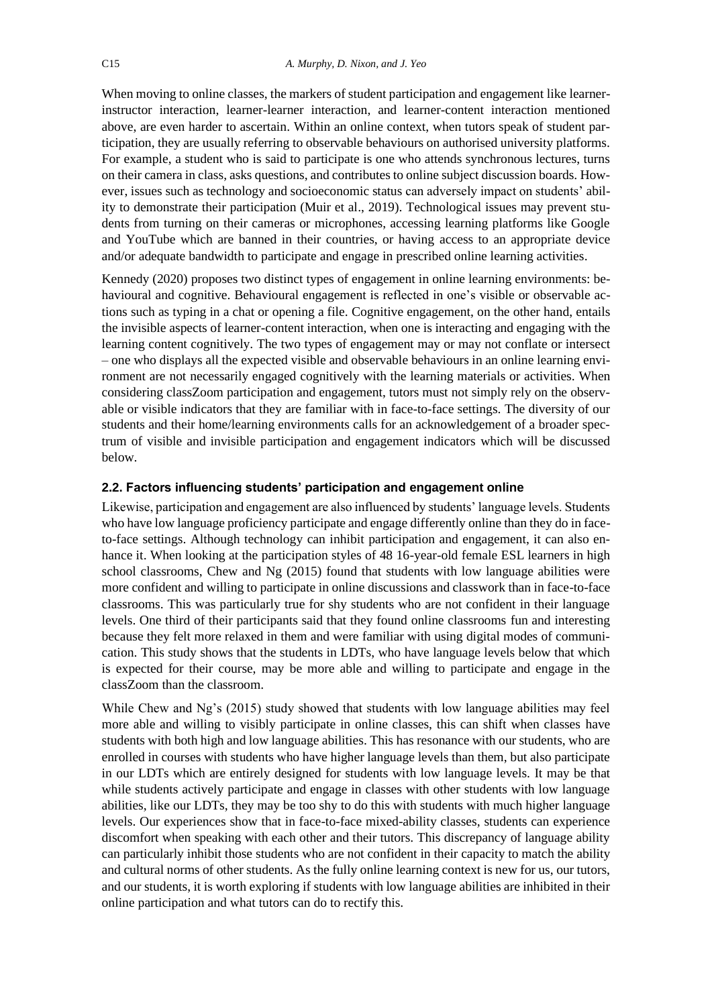When moving to online classes, the markers of student participation and engagement like learnerinstructor interaction, learner-learner interaction, and learner-content interaction mentioned above, are even harder to ascertain. Within an online context, when tutors speak of student participation, they are usually referring to observable behaviours on authorised university platforms. For example, a student who is said to participate is one who attends synchronous lectures, turns on their camera in class, asks questions, and contributes to online subject discussion boards. However, issues such as technology and socioeconomic status can adversely impact on students' ability to demonstrate their participation (Muir et al., 2019). Technological issues may prevent students from turning on their cameras or microphones, accessing learning platforms like Google and YouTube which are banned in their countries, or having access to an appropriate device and/or adequate bandwidth to participate and engage in prescribed online learning activities.

Kennedy (2020) proposes two distinct types of engagement in online learning environments: behavioural and cognitive. Behavioural engagement is reflected in one's visible or observable actions such as typing in a chat or opening a file. Cognitive engagement, on the other hand, entails the invisible aspects of learner-content interaction, when one is interacting and engaging with the learning content cognitively. The two types of engagement may or may not conflate or intersect – one who displays all the expected visible and observable behaviours in an online learning environment are not necessarily engaged cognitively with the learning materials or activities. When considering classZoom participation and engagement, tutors must not simply rely on the observable or visible indicators that they are familiar with in face-to-face settings. The diversity of our students and their home/learning environments calls for an acknowledgement of a broader spectrum of visible and invisible participation and engagement indicators which will be discussed below.

#### **2.2. Factors influencing students' participation and engagement online**

Likewise, participation and engagement are also influenced by students' language levels. Students who have low language proficiency participate and engage differently online than they do in faceto-face settings. Although technology can inhibit participation and engagement, it can also enhance it. When looking at the participation styles of 48 16-year-old female ESL learners in high school classrooms, Chew and Ng (2015) found that students with low language abilities were more confident and willing to participate in online discussions and classwork than in face-to-face classrooms. This was particularly true for shy students who are not confident in their language levels. One third of their participants said that they found online classrooms fun and interesting because they felt more relaxed in them and were familiar with using digital modes of communication. This study shows that the students in LDTs, who have language levels below that which is expected for their course, may be more able and willing to participate and engage in the classZoom than the classroom.

While Chew and Ng's (2015) study showed that students with low language abilities may feel more able and willing to visibly participate in online classes, this can shift when classes have students with both high and low language abilities. This has resonance with our students, who are enrolled in courses with students who have higher language levels than them, but also participate in our LDTs which are entirely designed for students with low language levels. It may be that while students actively participate and engage in classes with other students with low language abilities, like our LDTs, they may be too shy to do this with students with much higher language levels. Our experiences show that in face-to-face mixed-ability classes, students can experience discomfort when speaking with each other and their tutors. This discrepancy of language ability can particularly inhibit those students who are not confident in their capacity to match the ability and cultural norms of other students. As the fully online learning context is new for us, our tutors, and our students, it is worth exploring if students with low language abilities are inhibited in their online participation and what tutors can do to rectify this.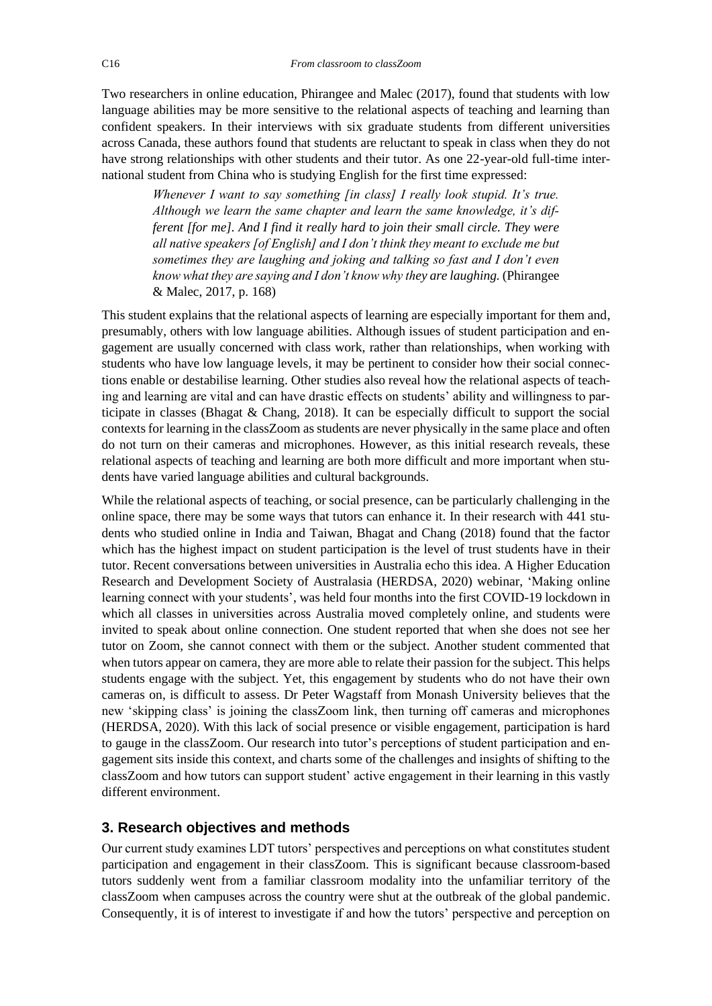Two researchers in online education, Phirangee and Malec (2017), found that students with low language abilities may be more sensitive to the relational aspects of teaching and learning than confident speakers. In their interviews with six graduate students from different universities across Canada, these authors found that students are reluctant to speak in class when they do not have strong relationships with other students and their tutor. As one 22-year-old full-time international student from China who is studying English for the first time expressed:

*Whenever I want to say something [in class] I really look stupid. It's true. Although we learn the same chapter and learn the same knowledge, it's different [for me]. And I find it really hard to join their small circle. They were all native speakers [of English] and I don't think they meant to exclude me but sometimes they are laughing and joking and talking so fast and I don't even know what they are saying and I don't know why they are laughing.* (Phirangee & Malec, 2017, p. 168)

This student explains that the relational aspects of learning are especially important for them and, presumably, others with low language abilities. Although issues of student participation and engagement are usually concerned with class work, rather than relationships, when working with students who have low language levels, it may be pertinent to consider how their social connections enable or destabilise learning. Other studies also reveal how the relational aspects of teaching and learning are vital and can have drastic effects on students' ability and willingness to participate in classes (Bhagat & Chang, 2018). It can be especially difficult to support the social contexts for learning in the classZoom as students are never physically in the same place and often do not turn on their cameras and microphones. However, as this initial research reveals, these relational aspects of teaching and learning are both more difficult and more important when students have varied language abilities and cultural backgrounds.

While the relational aspects of teaching, or social presence, can be particularly challenging in the online space, there may be some ways that tutors can enhance it. In their research with 441 students who studied online in India and Taiwan, Bhagat and Chang (2018) found that the factor which has the highest impact on student participation is the level of trust students have in their tutor. Recent conversations between universities in Australia echo this idea. A Higher Education Research and Development Society of Australasia (HERDSA, 2020) webinar, 'Making online learning connect with your students', was held four months into the first COVID-19 lockdown in which all classes in universities across Australia moved completely online, and students were invited to speak about online connection. One student reported that when she does not see her tutor on Zoom, she cannot connect with them or the subject. Another student commented that when tutors appear on camera, they are more able to relate their passion for the subject. This helps students engage with the subject. Yet, this engagement by students who do not have their own cameras on, is difficult to assess. Dr Peter Wagstaff from Monash University believes that the new 'skipping class' is joining the classZoom link, then turning off cameras and microphones (HERDSA, 2020). With this lack of social presence or visible engagement, participation is hard to gauge in the classZoom. Our research into tutor's perceptions of student participation and engagement sits inside this context, and charts some of the challenges and insights of shifting to the classZoom and how tutors can support student' active engagement in their learning in this vastly different environment.

## **3. Research objectives and methods**

Our current study examines LDT tutors' perspectives and perceptions on what constitutes student participation and engagement in their classZoom. This is significant because classroom-based tutors suddenly went from a familiar classroom modality into the unfamiliar territory of the classZoom when campuses across the country were shut at the outbreak of the global pandemic. Consequently, it is of interest to investigate if and how the tutors' perspective and perception on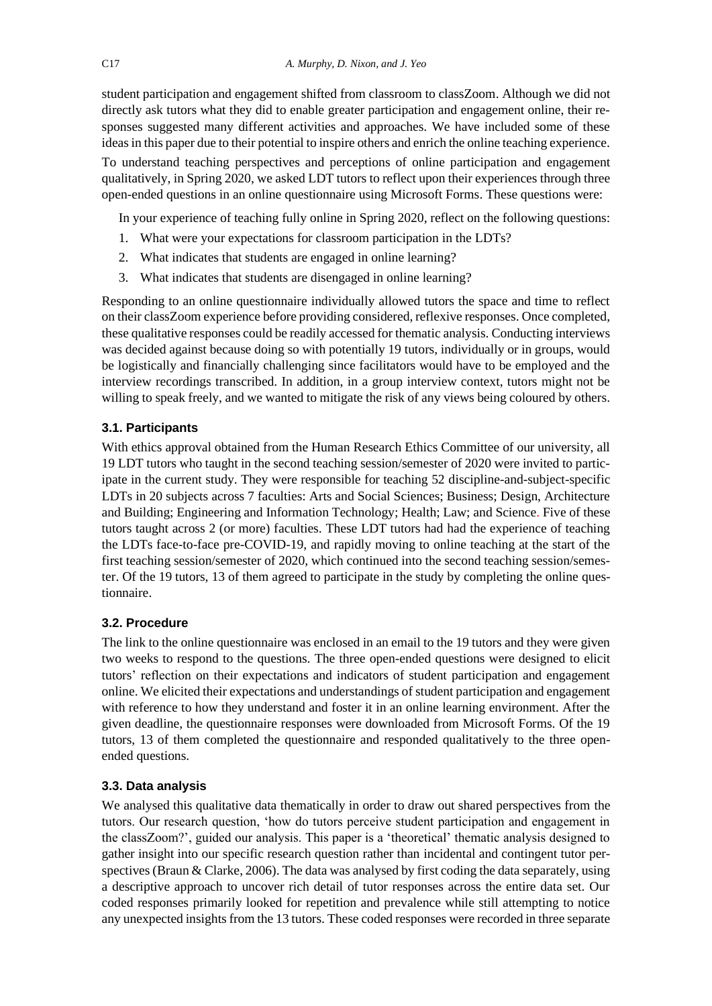student participation and engagement shifted from classroom to classZoom. Although we did not directly ask tutors what they did to enable greater participation and engagement online, their responses suggested many different activities and approaches. We have included some of these ideas in this paper due to their potential to inspire others and enrich the online teaching experience.

To understand teaching perspectives and perceptions of online participation and engagement qualitatively, in Spring 2020, we asked LDT tutors to reflect upon their experiences through three open-ended questions in an online questionnaire using Microsoft Forms. These questions were:

In your experience of teaching fully online in Spring 2020, reflect on the following questions:

- 1. What were your expectations for classroom participation in the LDTs?
- 2. What indicates that students are engaged in online learning?
- 3. What indicates that students are disengaged in online learning?

Responding to an online questionnaire individually allowed tutors the space and time to reflect on their classZoom experience before providing considered, reflexive responses. Once completed, these qualitative responses could be readily accessed for thematic analysis. Conducting interviews was decided against because doing so with potentially 19 tutors, individually or in groups, would be logistically and financially challenging since facilitators would have to be employed and the interview recordings transcribed. In addition, in a group interview context, tutors might not be willing to speak freely, and we wanted to mitigate the risk of any views being coloured by others.

#### **3.1. Participants**

With ethics approval obtained from the Human Research Ethics Committee of our university, all 19 LDT tutors who taught in the second teaching session/semester of 2020 were invited to participate in the current study. They were responsible for teaching 52 discipline-and-subject-specific LDTs in 20 subjects across 7 faculties: Arts and Social Sciences; Business; Design, Architecture and Building; Engineering and Information Technology; Health; Law; and Science. Five of these tutors taught across 2 (or more) faculties. These LDT tutors had had the experience of teaching the LDTs face-to-face pre-COVID-19, and rapidly moving to online teaching at the start of the first teaching session/semester of 2020, which continued into the second teaching session/semester. Of the 19 tutors, 13 of them agreed to participate in the study by completing the online questionnaire.

#### **3.2. Procedure**

The link to the online questionnaire was enclosed in an email to the 19 tutors and they were given two weeks to respond to the questions. The three open-ended questions were designed to elicit tutors' reflection on their expectations and indicators of student participation and engagement online. We elicited their expectations and understandings of student participation and engagement with reference to how they understand and foster it in an online learning environment. After the given deadline, the questionnaire responses were downloaded from Microsoft Forms. Of the 19 tutors, 13 of them completed the questionnaire and responded qualitatively to the three openended questions.

#### **3.3. Data analysis**

We analysed this qualitative data thematically in order to draw out shared perspectives from the tutors. Our research question, 'how do tutors perceive student participation and engagement in the classZoom?', guided our analysis. This paper is a 'theoretical' thematic analysis designed to gather insight into our specific research question rather than incidental and contingent tutor perspectives (Braun  $&$  Clarke, 2006). The data was analysed by first coding the data separately, using a descriptive approach to uncover rich detail of tutor responses across the entire data set. Our coded responses primarily looked for repetition and prevalence while still attempting to notice any unexpected insights from the 13 tutors. These coded responses were recorded in three separate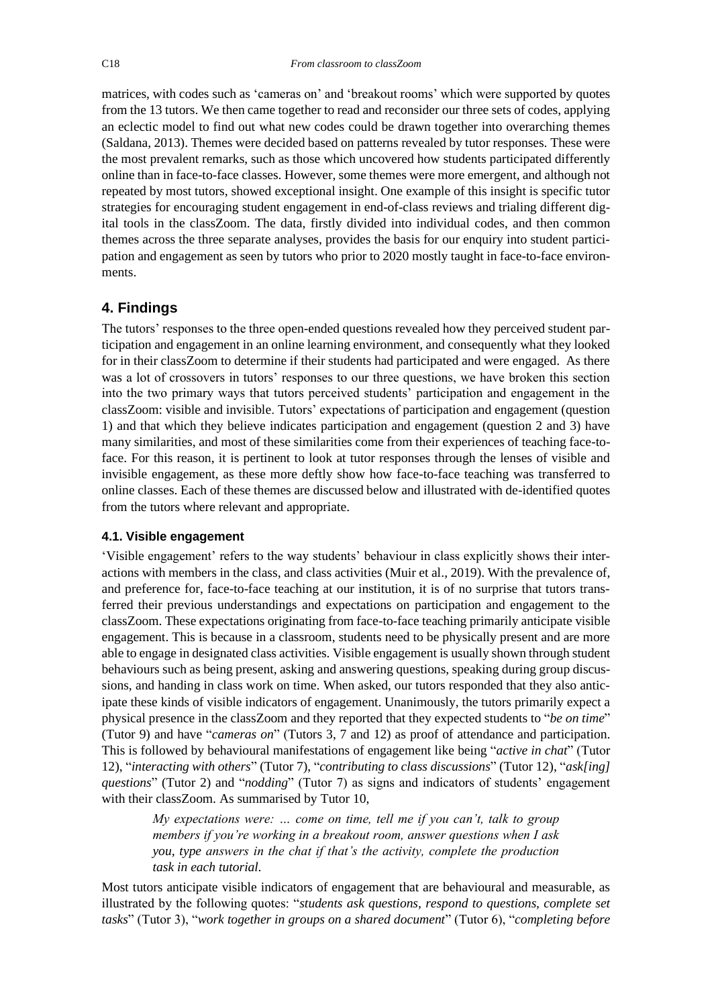matrices, with codes such as 'cameras on' and 'breakout rooms' which were supported by quotes from the 13 tutors. We then came together to read and reconsider our three sets of codes, applying an eclectic model to find out what new codes could be drawn together into overarching themes (Saldana, 2013). Themes were decided based on patterns revealed by tutor responses. These were the most prevalent remarks, such as those which uncovered how students participated differently online than in face-to-face classes. However, some themes were more emergent, and although not repeated by most tutors, showed exceptional insight. One example of this insight is specific tutor strategies for encouraging student engagement in end-of-class reviews and trialing different digital tools in the classZoom. The data, firstly divided into individual codes, and then common themes across the three separate analyses, provides the basis for our enquiry into student participation and engagement as seen by tutors who prior to 2020 mostly taught in face-to-face environments.

# **4. Findings**

The tutors' responses to the three open-ended questions revealed how they perceived student participation and engagement in an online learning environment, and consequently what they looked for in their classZoom to determine if their students had participated and were engaged. As there was a lot of crossovers in tutors' responses to our three questions, we have broken this section into the two primary ways that tutors perceived students' participation and engagement in the classZoom: visible and invisible. Tutors' expectations of participation and engagement (question 1) and that which they believe indicates participation and engagement (question 2 and 3) have many similarities, and most of these similarities come from their experiences of teaching face-toface. For this reason, it is pertinent to look at tutor responses through the lenses of visible and invisible engagement, as these more deftly show how face-to-face teaching was transferred to online classes. Each of these themes are discussed below and illustrated with de-identified quotes from the tutors where relevant and appropriate.

#### **4.1. Visible engagement**

'Visible engagement' refers to the way students' behaviour in class explicitly shows their interactions with members in the class, and class activities (Muir et al., 2019). With the prevalence of, and preference for, face-to-face teaching at our institution, it is of no surprise that tutors transferred their previous understandings and expectations on participation and engagement to the classZoom. These expectations originating from face-to-face teaching primarily anticipate visible engagement. This is because in a classroom, students need to be physically present and are more able to engage in designated class activities. Visible engagement is usually shown through student behaviours such as being present, asking and answering questions, speaking during group discussions, and handing in class work on time. When asked, our tutors responded that they also anticipate these kinds of visible indicators of engagement. Unanimously, the tutors primarily expect a physical presence in the classZoom and they reported that they expected students to "*be on time*" (Tutor 9) and have "*cameras on*" (Tutors 3, 7 and 12) as proof of attendance and participation. This is followed by behavioural manifestations of engagement like being "*active in chat*" (Tutor 12), "*interacting with others*" (Tutor 7), "*contributing to class discussions*" (Tutor 12), "*ask[ing] questions*" (Tutor 2) and "*nodding*" (Tutor 7) as signs and indicators of students' engagement with their classZoom. As summarised by Tutor 10,

*My expectations were: … come on time, tell me if you can't, talk to group members if you're working in a breakout room, answer questions when I ask you, type answers in the chat if that's the activity, complete the production task in each tutorial.* 

Most tutors anticipate visible indicators of engagement that are behavioural and measurable, as illustrated by the following quotes: "*students ask questions, respond to questions, complete set tasks*" (Tutor 3), "*work together in groups on a shared document*" (Tutor 6), "*completing before*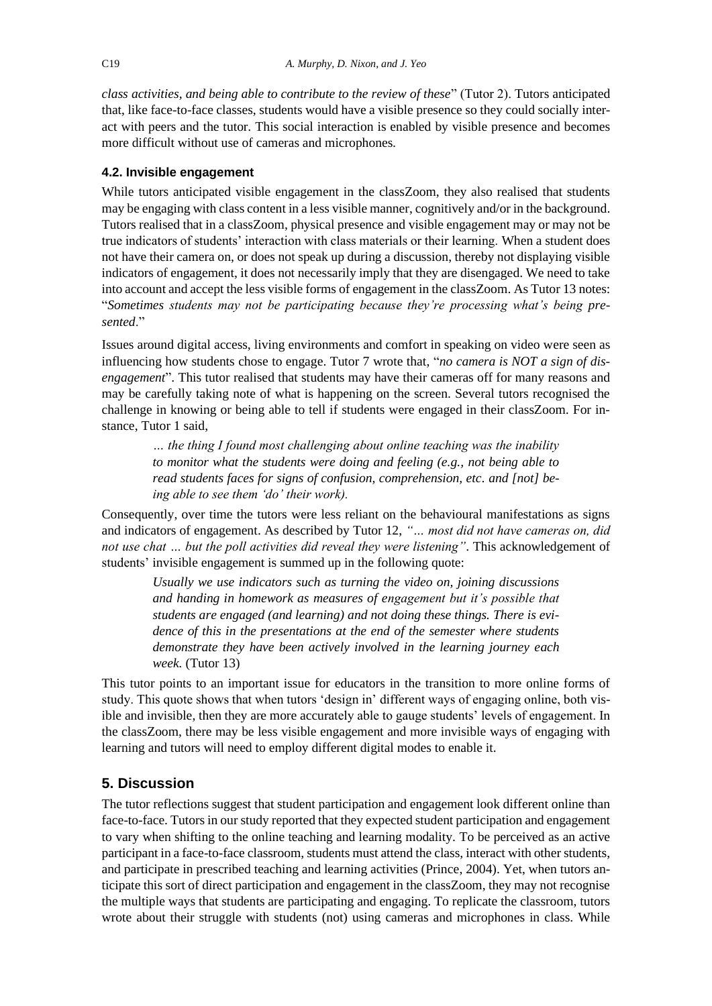*class activities, and being able to contribute to the review of these*" (Tutor 2). Tutors anticipated that, like face-to-face classes, students would have a visible presence so they could socially interact with peers and the tutor. This social interaction is enabled by visible presence and becomes more difficult without use of cameras and microphones.

## **4.2. Invisible engagement**

While tutors anticipated visible engagement in the classZoom, they also realised that students may be engaging with class content in a less visible manner, cognitively and/or in the background. Tutors realised that in a classZoom, physical presence and visible engagement may or may not be true indicators of students' interaction with class materials or their learning. When a student does not have their camera on, or does not speak up during a discussion, thereby not displaying visible indicators of engagement, it does not necessarily imply that they are disengaged. We need to take into account and accept the less visible forms of engagement in the classZoom. As Tutor 13 notes: "*Sometimes students may not be participating because they're processing what's being presented*."

Issues around digital access, living environments and comfort in speaking on video were seen as influencing how students chose to engage. Tutor 7 wrote that, "*no camera is NOT a sign of disengagement*". This tutor realised that students may have their cameras off for many reasons and may be carefully taking note of what is happening on the screen. Several tutors recognised the challenge in knowing or being able to tell if students were engaged in their classZoom. For instance, Tutor 1 said,

*… the thing I found most challenging about online teaching was the inability to monitor what the students were doing and feeling (e.g., not being able to read students faces for signs of confusion, comprehension, etc. and [not] being able to see them 'do' their work).* 

Consequently, over time the tutors were less reliant on the behavioural manifestations as signs and indicators of engagement. As described by Tutor 12, *"… most did not have cameras on, did not use chat … but the poll activities did reveal they were listening"*. This acknowledgement of students' invisible engagement is summed up in the following quote:

*Usually we use indicators such as turning the video on, joining discussions and handing in homework as measures of engagement but it's possible that students are engaged (and learning) and not doing these things. There is evidence of this in the presentations at the end of the semester where students demonstrate they have been actively involved in the learning journey each week.* (Tutor 13)

This tutor points to an important issue for educators in the transition to more online forms of study. This quote shows that when tutors 'design in' different ways of engaging online, both visible and invisible, then they are more accurately able to gauge students' levels of engagement. In the classZoom, there may be less visible engagement and more invisible ways of engaging with learning and tutors will need to employ different digital modes to enable it.

# **5. Discussion**

The tutor reflections suggest that student participation and engagement look different online than face-to-face. Tutors in our study reported that they expected student participation and engagement to vary when shifting to the online teaching and learning modality. To be perceived as an active participant in a face-to-face classroom, students must attend the class, interact with other students, and participate in prescribed teaching and learning activities (Prince, 2004). Yet, when tutors anticipate this sort of direct participation and engagement in the classZoom, they may not recognise the multiple ways that students are participating and engaging. To replicate the classroom, tutors wrote about their struggle with students (not) using cameras and microphones in class. While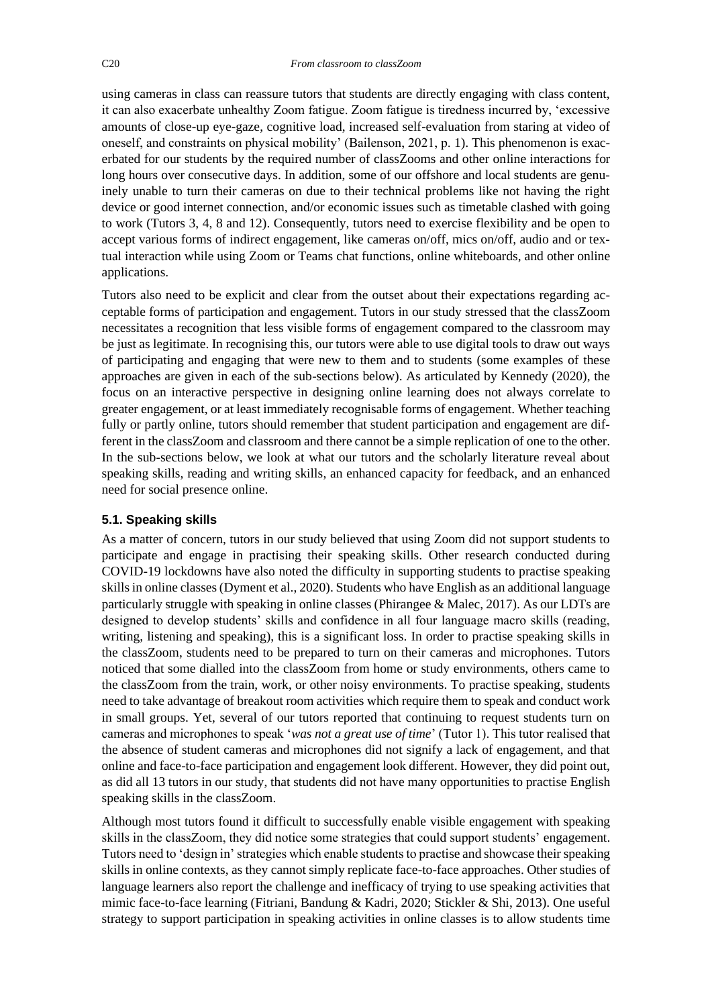using cameras in class can reassure tutors that students are directly engaging with class content, it can also exacerbate unhealthy Zoom fatigue. Zoom fatigue is tiredness incurred by, 'excessive amounts of close-up eye-gaze, cognitive load, increased self-evaluation from staring at video of oneself, and constraints on physical mobility' (Bailenson, 2021, p. 1). This phenomenon is exacerbated for our students by the required number of classZooms and other online interactions for long hours over consecutive days. In addition, some of our offshore and local students are genuinely unable to turn their cameras on due to their technical problems like not having the right device or good internet connection, and/or economic issues such as timetable clashed with going to work (Tutors 3, 4, 8 and 12). Consequently, tutors need to exercise flexibility and be open to accept various forms of indirect engagement, like cameras on/off, mics on/off, audio and or textual interaction while using Zoom or Teams chat functions, online whiteboards, and other online applications.

Tutors also need to be explicit and clear from the outset about their expectations regarding acceptable forms of participation and engagement. Tutors in our study stressed that the classZoom necessitates a recognition that less visible forms of engagement compared to the classroom may be just as legitimate. In recognising this, our tutors were able to use digital tools to draw out ways of participating and engaging that were new to them and to students (some examples of these approaches are given in each of the sub-sections below). As articulated by Kennedy (2020), the focus on an interactive perspective in designing online learning does not always correlate to greater engagement, or at least immediately recognisable forms of engagement. Whether teaching fully or partly online, tutors should remember that student participation and engagement are different in the classZoom and classroom and there cannot be a simple replication of one to the other. In the sub-sections below, we look at what our tutors and the scholarly literature reveal about speaking skills, reading and writing skills, an enhanced capacity for feedback, and an enhanced need for social presence online.

#### **5.1. Speaking skills**

As a matter of concern, tutors in our study believed that using Zoom did not support students to participate and engage in practising their speaking skills. Other research conducted during COVID-19 lockdowns have also noted the difficulty in supporting students to practise speaking skills in online classes (Dyment et al., 2020). Students who have English as an additional language particularly struggle with speaking in online classes (Phirangee & Malec, 2017). As our LDTs are designed to develop students' skills and confidence in all four language macro skills (reading, writing, listening and speaking), this is a significant loss. In order to practise speaking skills in the classZoom, students need to be prepared to turn on their cameras and microphones. Tutors noticed that some dialled into the classZoom from home or study environments, others came to the classZoom from the train, work, or other noisy environments. To practise speaking, students need to take advantage of breakout room activities which require them to speak and conduct work in small groups. Yet, several of our tutors reported that continuing to request students turn on cameras and microphones to speak '*was not a great use of time*' (Tutor 1). This tutor realised that the absence of student cameras and microphones did not signify a lack of engagement, and that online and face-to-face participation and engagement look different. However, they did point out, as did all 13 tutors in our study, that students did not have many opportunities to practise English speaking skills in the classZoom.

Although most tutors found it difficult to successfully enable visible engagement with speaking skills in the classZoom, they did notice some strategies that could support students' engagement. Tutors need to 'design in' strategies which enable students to practise and showcase their speaking skills in online contexts, as they cannot simply replicate face-to-face approaches. Other studies of language learners also report the challenge and inefficacy of trying to use speaking activities that mimic face-to-face learning (Fitriani, Bandung & Kadri, 2020; Stickler & Shi, 2013). One useful strategy to support participation in speaking activities in online classes is to allow students time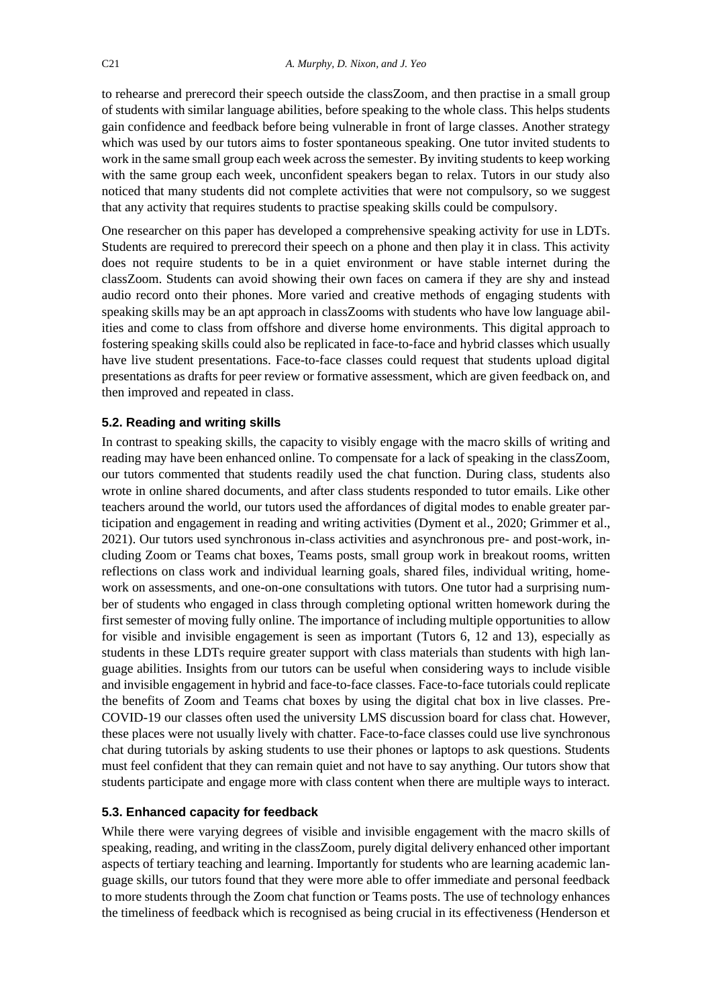to rehearse and prerecord their speech outside the classZoom, and then practise in a small group of students with similar language abilities, before speaking to the whole class. This helps students gain confidence and feedback before being vulnerable in front of large classes. Another strategy which was used by our tutors aims to foster spontaneous speaking. One tutor invited students to work in the same small group each week across the semester. By inviting students to keep working with the same group each week, unconfident speakers began to relax. Tutors in our study also noticed that many students did not complete activities that were not compulsory, so we suggest that any activity that requires students to practise speaking skills could be compulsory.

One researcher on this paper has developed a comprehensive speaking activity for use in LDTs. Students are required to prerecord their speech on a phone and then play it in class. This activity does not require students to be in a quiet environment or have stable internet during the classZoom. Students can avoid showing their own faces on camera if they are shy and instead audio record onto their phones. More varied and creative methods of engaging students with speaking skills may be an apt approach in classZooms with students who have low language abilities and come to class from offshore and diverse home environments. This digital approach to fostering speaking skills could also be replicated in face-to-face and hybrid classes which usually have live student presentations. Face-to-face classes could request that students upload digital presentations as drafts for peer review or formative assessment, which are given feedback on, and then improved and repeated in class.

## **5.2. Reading and writing skills**

In contrast to speaking skills, the capacity to visibly engage with the macro skills of writing and reading may have been enhanced online. To compensate for a lack of speaking in the classZoom, our tutors commented that students readily used the chat function. During class, students also wrote in online shared documents, and after class students responded to tutor emails. Like other teachers around the world, our tutors used the affordances of digital modes to enable greater participation and engagement in reading and writing activities (Dyment et al., 2020; Grimmer et al., 2021). Our tutors used synchronous in-class activities and asynchronous pre- and post-work, including Zoom or Teams chat boxes, Teams posts, small group work in breakout rooms, written reflections on class work and individual learning goals, shared files, individual writing, homework on assessments, and one-on-one consultations with tutors. One tutor had a surprising number of students who engaged in class through completing optional written homework during the first semester of moving fully online. The importance of including multiple opportunities to allow for visible and invisible engagement is seen as important (Tutors 6, 12 and 13), especially as students in these LDTs require greater support with class materials than students with high language abilities. Insights from our tutors can be useful when considering ways to include visible and invisible engagement in hybrid and face-to-face classes. Face-to-face tutorials could replicate the benefits of Zoom and Teams chat boxes by using the digital chat box in live classes. Pre-COVID-19 our classes often used the university LMS discussion board for class chat. However, these places were not usually lively with chatter. Face-to-face classes could use live synchronous chat during tutorials by asking students to use their phones or laptops to ask questions. Students must feel confident that they can remain quiet and not have to say anything. Our tutors show that students participate and engage more with class content when there are multiple ways to interact.

#### **5.3. Enhanced capacity for feedback**

While there were varying degrees of visible and invisible engagement with the macro skills of speaking, reading, and writing in the classZoom, purely digital delivery enhanced other important aspects of tertiary teaching and learning. Importantly for students who are learning academic language skills, our tutors found that they were more able to offer immediate and personal feedback to more students through the Zoom chat function or Teams posts. The use of technology enhances the timeliness of feedback which is recognised as being crucial in its effectiveness (Henderson et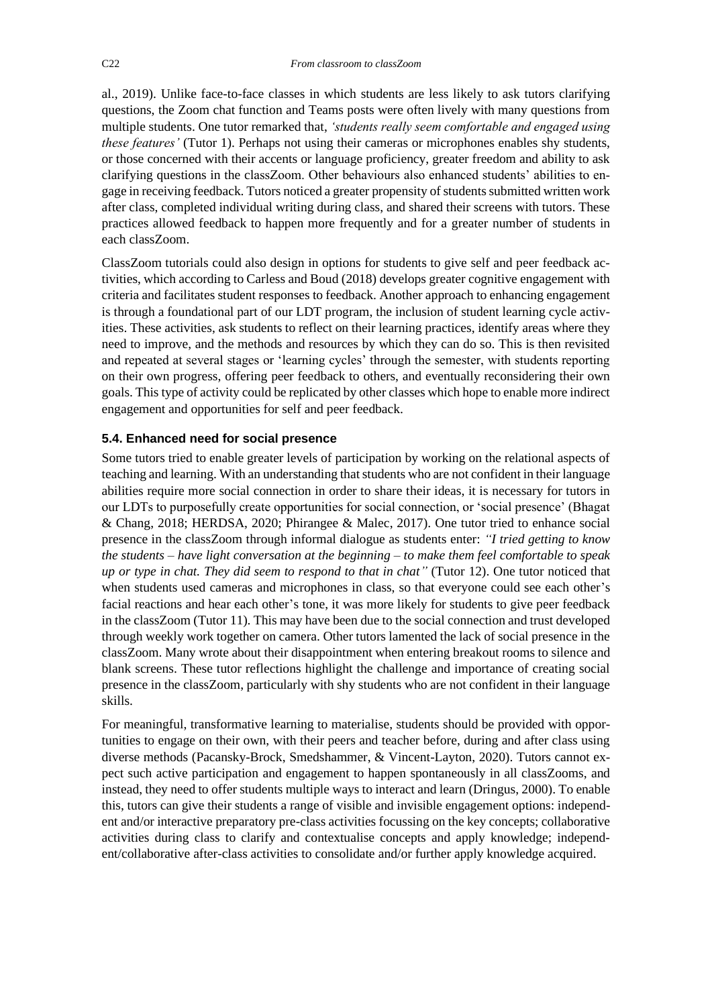al., 2019). Unlike face-to-face classes in which students are less likely to ask tutors clarifying questions, the Zoom chat function and Teams posts were often lively with many questions from multiple students. One tutor remarked that, *'students really seem comfortable and engaged using these features'* (Tutor 1). Perhaps not using their cameras or microphones enables shy students, or those concerned with their accents or language proficiency, greater freedom and ability to ask clarifying questions in the classZoom. Other behaviours also enhanced students' abilities to engage in receiving feedback. Tutors noticed a greater propensity of students submitted written work after class, completed individual writing during class, and shared their screens with tutors. These practices allowed feedback to happen more frequently and for a greater number of students in each classZoom.

ClassZoom tutorials could also design in options for students to give self and peer feedback activities, which according to Carless and Boud (2018) develops greater cognitive engagement with criteria and facilitates student responses to feedback. Another approach to enhancing engagement is through a foundational part of our LDT program, the inclusion of student learning cycle activities. These activities, ask students to reflect on their learning practices, identify areas where they need to improve, and the methods and resources by which they can do so. This is then revisited and repeated at several stages or 'learning cycles' through the semester, with students reporting on their own progress, offering peer feedback to others, and eventually reconsidering their own goals. This type of activity could be replicated by other classes which hope to enable more indirect engagement and opportunities for self and peer feedback.

## **5.4. Enhanced need for social presence**

Some tutors tried to enable greater levels of participation by working on the relational aspects of teaching and learning. With an understanding that students who are not confident in their language abilities require more social connection in order to share their ideas, it is necessary for tutors in our LDTs to purposefully create opportunities for social connection, or 'social presence' (Bhagat & Chang, 2018; HERDSA, 2020; Phirangee & Malec, 2017). One tutor tried to enhance social presence in the classZoom through informal dialogue as students enter: *"I tried getting to know the students – have light conversation at the beginning – to make them feel comfortable to speak up or type in chat. They did seem to respond to that in chat"* (Tutor 12). One tutor noticed that when students used cameras and microphones in class, so that everyone could see each other's facial reactions and hear each other's tone, it was more likely for students to give peer feedback in the classZoom (Tutor 11). This may have been due to the social connection and trust developed through weekly work together on camera. Other tutors lamented the lack of social presence in the classZoom. Many wrote about their disappointment when entering breakout rooms to silence and blank screens. These tutor reflections highlight the challenge and importance of creating social presence in the classZoom, particularly with shy students who are not confident in their language skills.

For meaningful, transformative learning to materialise, students should be provided with opportunities to engage on their own, with their peers and teacher before, during and after class using diverse methods (Pacansky-Brock, Smedshammer, & Vincent-Layton, 2020). Tutors cannot expect such active participation and engagement to happen spontaneously in all classZooms, and instead, they need to offer students multiple ways to interact and learn (Dringus, 2000). To enable this, tutors can give their students a range of visible and invisible engagement options: independent and/or interactive preparatory pre-class activities focussing on the key concepts; collaborative activities during class to clarify and contextualise concepts and apply knowledge; independent/collaborative after-class activities to consolidate and/or further apply knowledge acquired.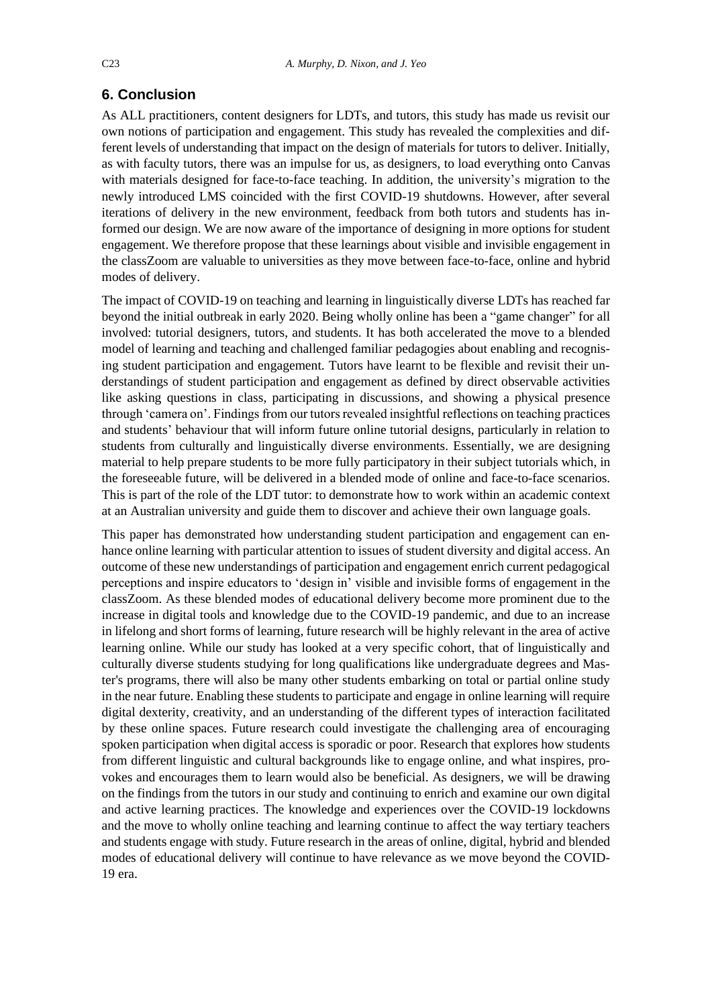## **6. Conclusion**

As ALL practitioners, content designers for LDTs, and tutors, this study has made us revisit our own notions of participation and engagement. This study has revealed the complexities and different levels of understanding that impact on the design of materials for tutors to deliver. Initially, as with faculty tutors, there was an impulse for us, as designers, to load everything onto Canvas with materials designed for face-to-face teaching. In addition, the university's migration to the newly introduced LMS coincided with the first COVID-19 shutdowns. However, after several iterations of delivery in the new environment, feedback from both tutors and students has informed our design. We are now aware of the importance of designing in more options for student engagement. We therefore propose that these learnings about visible and invisible engagement in the classZoom are valuable to universities as they move between face-to-face, online and hybrid modes of delivery.

The impact of COVID-19 on teaching and learning in linguistically diverse LDTs has reached far beyond the initial outbreak in early 2020. Being wholly online has been a "game changer" for all involved: tutorial designers, tutors, and students. It has both accelerated the move to a blended model of learning and teaching and challenged familiar pedagogies about enabling and recognising student participation and engagement. Tutors have learnt to be flexible and revisit their understandings of student participation and engagement as defined by direct observable activities like asking questions in class, participating in discussions, and showing a physical presence through 'camera on'. Findings from our tutors revealed insightful reflections on teaching practices and students' behaviour that will inform future online tutorial designs, particularly in relation to students from culturally and linguistically diverse environments. Essentially, we are designing material to help prepare students to be more fully participatory in their subject tutorials which, in the foreseeable future, will be delivered in a blended mode of online and face-to-face scenarios. This is part of the role of the LDT tutor: to demonstrate how to work within an academic context at an Australian university and guide them to discover and achieve their own language goals.

This paper has demonstrated how understanding student participation and engagement can enhance online learning with particular attention to issues of student diversity and digital access. An outcome of these new understandings of participation and engagement enrich current pedagogical perceptions and inspire educators to 'design in' visible and invisible forms of engagement in the classZoom. As these blended modes of educational delivery become more prominent due to the increase in digital tools and knowledge due to the COVID-19 pandemic, and due to an increase in lifelong and short forms of learning, future research will be highly relevant in the area of active learning online. While our study has looked at a very specific cohort, that of linguistically and culturally diverse students studying for long qualifications like undergraduate degrees and Master's programs, there will also be many other students embarking on total or partial online study in the near future. Enabling these students to participate and engage in online learning will require digital dexterity, creativity, and an understanding of the different types of interaction facilitated by these online spaces. Future research could investigate the challenging area of encouraging spoken participation when digital access is sporadic or poor. Research that explores how students from different linguistic and cultural backgrounds like to engage online, and what inspires, provokes and encourages them to learn would also be beneficial. As designers, we will be drawing on the findings from the tutors in our study and continuing to enrich and examine our own digital and active learning practices. The knowledge and experiences over the COVID-19 lockdowns and the move to wholly online teaching and learning continue to affect the way tertiary teachers and students engage with study. Future research in the areas of online, digital, hybrid and blended modes of educational delivery will continue to have relevance as we move beyond the COVID-19 era.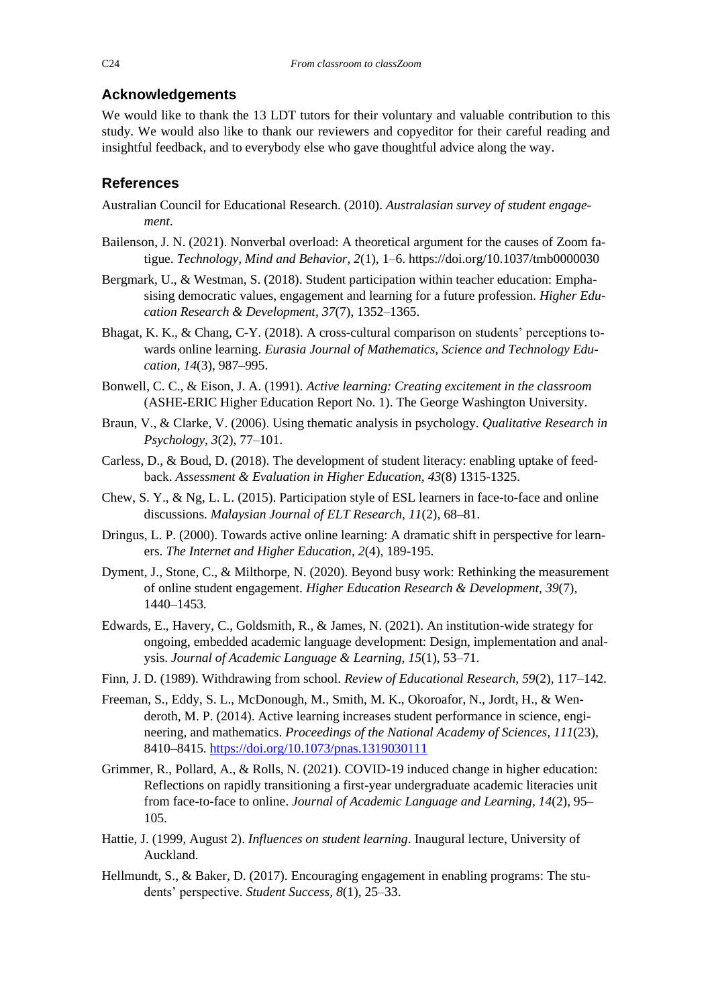# **Acknowledgements**

We would like to thank the 13 LDT tutors for their voluntary and valuable contribution to this study. We would also like to thank our reviewers and copyeditor for their careful reading and insightful feedback, and to everybody else who gave thoughtful advice along the way.

# **References**

- Australian Council for Educational Research. (2010). *Australasian survey of student engagement*.
- Bailenson, J. N. (2021). Nonverbal overload: A theoretical argument for the causes of Zoom fatigue. *Technology, Mind and Behavior, 2*(1), 1–6. https://doi.org/10.1037/tmb0000030
- Bergmark, U., & Westman, S. (2018). Student participation within teacher education: Emphasising democratic values, engagement and learning for a future profession. *Higher Education Research & Development, 37*(7), 1352–1365.
- Bhagat, K. K., & Chang, C-Y. (2018). A cross-cultural comparison on students' perceptions towards online learning. *Eurasia Journal of Mathematics, Science and Technology Education, 14*(3), 987–995.
- Bonwell, C. C., & Eison, J. A. (1991). *Active learning: Creating excitement in the classroom* (ASHE-ERIC Higher Education Report No. 1). The George Washington University.
- Braun, V., & Clarke, V. (2006). Using thematic analysis in psychology. *Qualitative Research in Psychology, 3*(2), 77–101.
- Carless, D., & Boud, D. (2018). The development of student literacy: enabling uptake of feedback. *Assessment & Evaluation in Higher Education, 43*(8) 1315-1325.
- Chew, S. Y., & Ng, L. L. (2015). Participation style of ESL learners in face-to-face and online discussions. *Malaysian Journal of ELT Research, 11*(2), 68–81.
- Dringus, L. P. (2000). Towards active online learning: A dramatic shift in perspective for learners. *The Internet and Higher Education*, *2*(4), 189-195.
- Dyment, J., Stone, C., & Milthorpe, N. (2020). Beyond busy work: Rethinking the measurement of online student engagement. *Higher Education Research & Development, 39*(7), 1440–1453.
- Edwards, E., Havery, C., Goldsmith, R., & James, N. (2021). An institution-wide strategy for ongoing, embedded academic language development: Design, implementation and analysis. *Journal of Academic Language & Learning, 15*(1), 53–71.
- Finn, J. D. (1989). Withdrawing from school. *Review of Educational Research, 59*(2), 117–142.
- Freeman, S., Eddy, S. L., McDonough, M., Smith, M. K., Okoroafor, N., Jordt, H., & Wenderoth, M. P. (2014). Active learning increases student performance in science, engineering, and mathematics. *Proceedings of the National Academy of Sciences, 111*(23), 8410–8415. <https://doi.org/10.1073/pnas.1319030111>
- Grimmer, R., Pollard, A., & Rolls, N. (2021). COVID-19 induced change in higher education: Reflections on rapidly transitioning a first-year undergraduate academic literacies unit from face-to-face to online. *Journal of Academic Language and Learning, 14*(2), 95– 105.
- Hattie, J. (1999, August 2). *Influences on student learning*. Inaugural lecture, University of Auckland.
- Hellmundt, S., & Baker, D. (2017). Encouraging engagement in enabling programs: The students' perspective. *Student Success, 8*(1), 25–33.